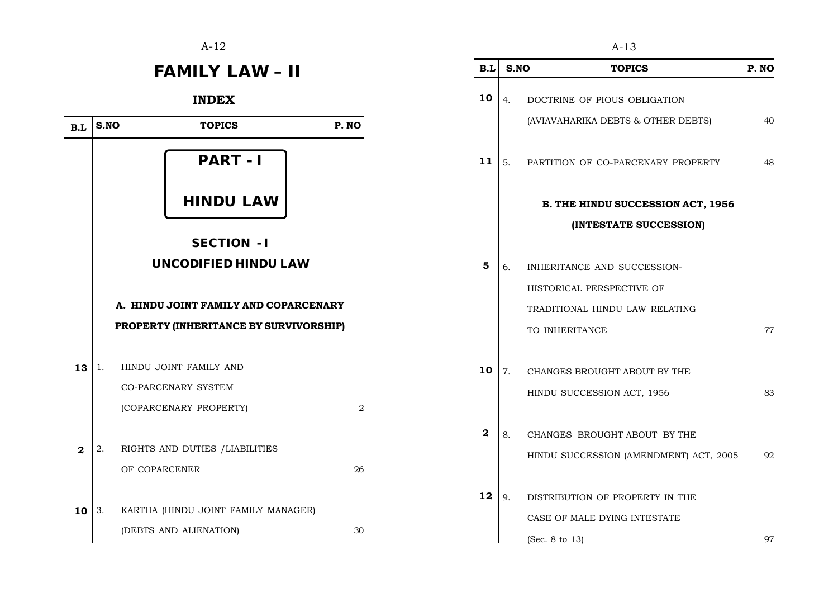$A-12$   $A-13$ 

## **FAMILY LAW - II**

INDEX



| B.L | S.NO | <b>TOPICS</b>                            | P. NO |
|-----|------|------------------------------------------|-------|
| 10  | 4.   | DOCTRINE OF PIOUS OBLIGATION             |       |
|     |      | (AVIAVAHARIKA DEBTS & OTHER DEBTS)       | 40    |
| 11  | 5.   | PARTITION OF CO-PARCENARY PROPERTY       | 48    |
|     |      | <b>B. THE HINDU SUCCESSION ACT, 1956</b> |       |
|     |      | (INTESTATE SUCCESSION)                   |       |
| 5   | 6.   | INHERITANCE AND SUCCESSION-              |       |
|     |      | HISTORICAL PERSPECTIVE OF                |       |
|     |      | TRADITIONAL HINDU LAW RELATING           |       |
|     |      | TO INHERITANCE                           | 77    |
| 10  | 7.   | CHANGES BROUGHT ABOUT BY THE             |       |
|     |      | HINDU SUCCESSION ACT, 1956               | 83    |
| 2   | 8.   | CHANGES BROUGHT ABOUT BY THE             |       |
|     |      | HINDU SUCCESSION (AMENDMENT) ACT, 2005   | 92    |
| 12  | 9.   | DISTRIBUTION OF PROPERTY IN THE          |       |
|     |      | CASE OF MALE DYING INTESTATE             |       |
|     |      | (Sec. 8 to 13)                           | 97    |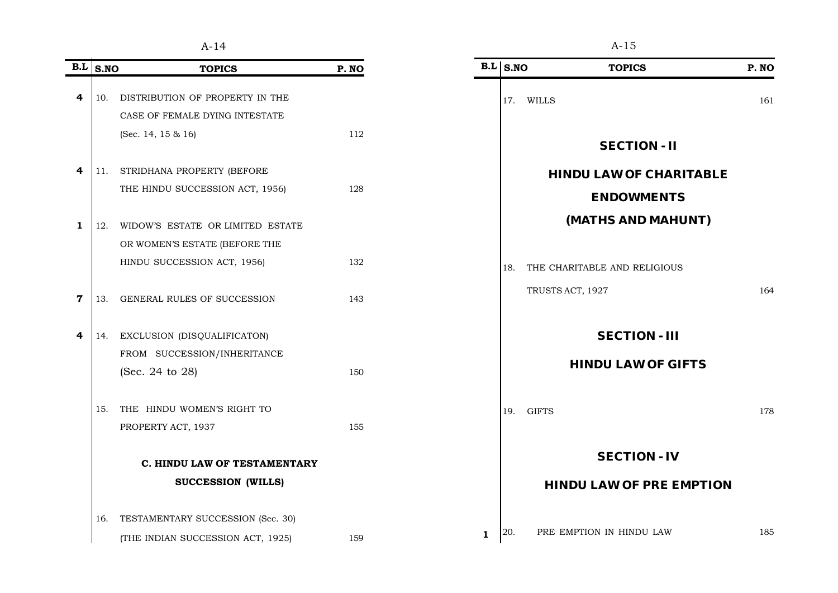| $\mathbf{B}.\mathbf{L}$ | S.NO | <b>TOPICS</b>                      | P. NO |
|-------------------------|------|------------------------------------|-------|
|                         |      |                                    |       |
| 4                       | 10.  | DISTRIBUTION OF PROPERTY IN THE    |       |
|                         |      | CASE OF FEMALE DYING INTESTATE     |       |
|                         |      | (Sec. 14, 15 & 16)                 | 112   |
| 4                       | 11.  | STRIDHANA PROPERTY (BEFORE         |       |
|                         |      | THE HINDU SUCCESSION ACT, 1956)    | 128   |
| 1                       | 12.  | WIDOW'S ESTATE OR LIMITED ESTATE   |       |
|                         |      | OR WOMEN'S ESTATE (BEFORE THE      |       |
|                         |      | HINDU SUCCESSION ACT, 1956)        | 132   |
| 7                       | 13.  | <b>GENERAL RULES OF SUCCESSION</b> | 143   |
| 4                       | 14.  | EXCLUSION (DISQUALIFICATON)        |       |
|                         |      | FROM SUCCESSION/INHERITANCE        |       |
|                         |      | (Sec. 24 to 28)                    | 150   |
|                         | 15.  | THE HINDU WOMEN'S RIGHT TO         |       |
|                         |      | PROPERTY ACT, 1937                 | 155   |
|                         |      | C. HINDU LAW OF TESTAMENTARY       |       |
|                         |      | <b>SUCCESSION (WILLS)</b>          |       |
|                         | 16.  | TESTAMENTARY SUCCESSION (Sec. 30)  |       |
|                         |      | (THE INDIAN SUCCESSION ACT, 1925)  | 159   |

|                          |              |     | $A-15$                          |                                                |
|--------------------------|--------------|-----|---------------------------------|------------------------------------------------|
| P. NO                    |              |     | <b>TOPICS</b>                   | P.NO                                           |
|                          |              | 17. | WILLS                           | 161                                            |
|                          |              |     |                                 |                                                |
| 112                      |              |     | <b>SECTION - II</b>             |                                                |
|                          |              |     | <b>HINDU LAW OF CHARITABLE</b>  |                                                |
| 128                      |              |     | <b>ENDOWMENTS</b>               |                                                |
|                          |              |     | (MATHS AND MAHUNT)              |                                                |
|                          |              |     |                                 |                                                |
| 132                      |              | 18. | THE CHARITABLE AND RELIGIOUS    |                                                |
| 143                      |              |     | TRUSTS ACT, 1927                | 164                                            |
|                          |              |     | <b>SECTION - III</b>            |                                                |
|                          |              |     |                                 |                                                |
| 150                      |              |     |                                 |                                                |
|                          |              | 19. | <b>GIFTS</b>                    | 178                                            |
| 155                      |              |     |                                 |                                                |
| <b>W OF TESTAMENTARY</b> |              |     | <b>SECTION - IV</b>             |                                                |
|                          |              |     | <b>HINDU LAW OF PRE EMPTION</b> |                                                |
|                          |              |     |                                 |                                                |
| 159                      | $\mathbf{1}$ | 20. | PRE EMPTION IN HINDU LAW        | 185                                            |
|                          |              |     |                                 | $B.L \space S.NO$<br><b>HINDU LAW OF GIFTS</b> |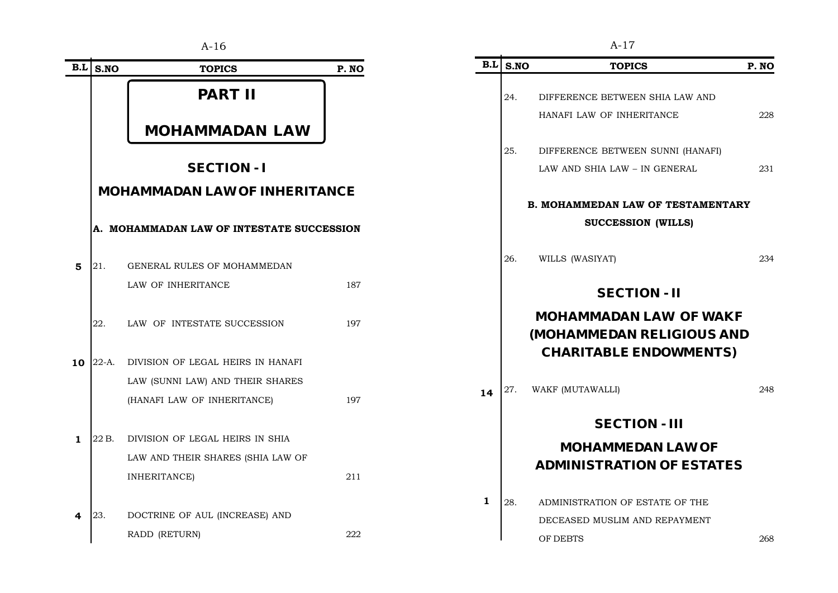|                |            | $A-16$                                    |       |     |      | $A-17$                                 |
|----------------|------------|-------------------------------------------|-------|-----|------|----------------------------------------|
|                | $B.L$ S.NO | <b>TOPICS</b>                             | P. NO | B.L | S.NO | <b>TOPI</b>                            |
|                |            | <b>PART II</b>                            |       |     | 24.  | DIFFERENCE BETWE<br>HANAFI LAW OF INHI |
|                |            | <b>MOHAMMADAN LAW</b>                     |       |     |      |                                        |
|                |            |                                           |       |     | 25.  | DIFFERENCE BETWE                       |
|                |            | <b>SECTION-I</b>                          |       |     |      | LAW AND SHIA LAW -                     |
|                |            | <b>MOHAMMADAN LAW OF INHERITANCE</b>      |       |     |      |                                        |
|                |            |                                           |       |     |      | <b>B. MOHAMMEDAN LA</b>                |
|                |            | A. MOHAMMADAN LAW OF INTESTATE SUCCESSION |       |     |      | <b>SUCCESSI</b>                        |
| $5\phantom{1}$ | 21.        | GENERAL RULES OF MOHAMMEDAN               |       |     | 26.  | WILLS (WASIYAT)                        |
|                |            | LAW OF INHERITANCE                        | 187   |     |      | <b>SECT</b>                            |
|                | 22.        | LAW OF INTESTATE SUCCESSION               | 197   |     |      | <b>MOHAMMADAM</b><br>(MOHAMMEDAN       |
| 10             | $22-A.$    | DIVISION OF LEGAL HEIRS IN HANAFI         |       |     |      | <b>CHARITABLE</b>                      |
|                |            | LAW (SUNNI LAW) AND THEIR SHARES          |       |     | 27.  |                                        |
|                |            | (HANAFI LAW OF INHERITANCE)               | 197   | 14  |      | WAKF (MUTAWALLI)                       |
|                |            |                                           |       |     |      | <b>SECTI</b>                           |
| $\mathbf{1}$   | 22 B.      | DIVISION OF LEGAL HEIRS IN SHIA           |       |     |      | <b>MOHAMME</b>                         |
|                |            | LAW AND THEIR SHARES (SHIA LAW OF         |       |     |      | <b>ADMINISTRATI</b>                    |
|                |            | INHERITANCE)                              | 211   |     |      |                                        |
|                |            |                                           |       | 1   | 28.  | ADMINISTRATION OF                      |
| 4              | 23.        | DOCTRINE OF AUL (INCREASE) AND            |       |     |      | DECEASED MUSLIM                        |
|                |            | RADD (RETURN)                             | 222   |     |      | OF DEBTS                               |

|              |      | 1 L L I                                                                                            |       |
|--------------|------|----------------------------------------------------------------------------------------------------|-------|
| B.L          | S.NO | <b>TOPICS</b>                                                                                      | P. NO |
|              | 24.  | DIFFERENCE BETWEEN SHIA LAW AND                                                                    |       |
|              |      | HANAFI LAW OF INHERITANCE                                                                          | 228   |
|              | 25.  | DIFFERENCE BETWEEN SUNNI (HANAFI)                                                                  |       |
|              |      | LAW AND SHIA LAW - IN GENERAL                                                                      | 231   |
|              |      | <b>B. MOHAMMEDAN LAW OF TESTAMENTARY</b>                                                           |       |
|              |      | SUCCESSION (WILLS)                                                                                 |       |
|              | 26.  | WILLS (WASIYAT)                                                                                    | 234   |
|              |      | <b>SECTION - II</b>                                                                                |       |
|              |      | <b>MOHAMMADAN LAW OF WAKF</b><br><b>(MOHAMMEDAN RELIGIOUS AND</b><br><b>CHARITABLE ENDOWMENTS)</b> |       |
| 14           | 27.  | WAKF (MUTAWALLI)                                                                                   | 248   |
|              |      | <b>SECTION - III</b>                                                                               |       |
|              |      | <b>MOHAMMEDAN LAW OF</b>                                                                           |       |
|              |      | <b>ADMINISTRATION OF ESTATES</b>                                                                   |       |
| $\mathbf{1}$ | 28.  | ADMINISTRATION OF ESTATE OF THE                                                                    |       |
|              |      | DECEASED MUSLIM AND REPAYMENT                                                                      |       |
|              |      | OF DEBTS                                                                                           | 268   |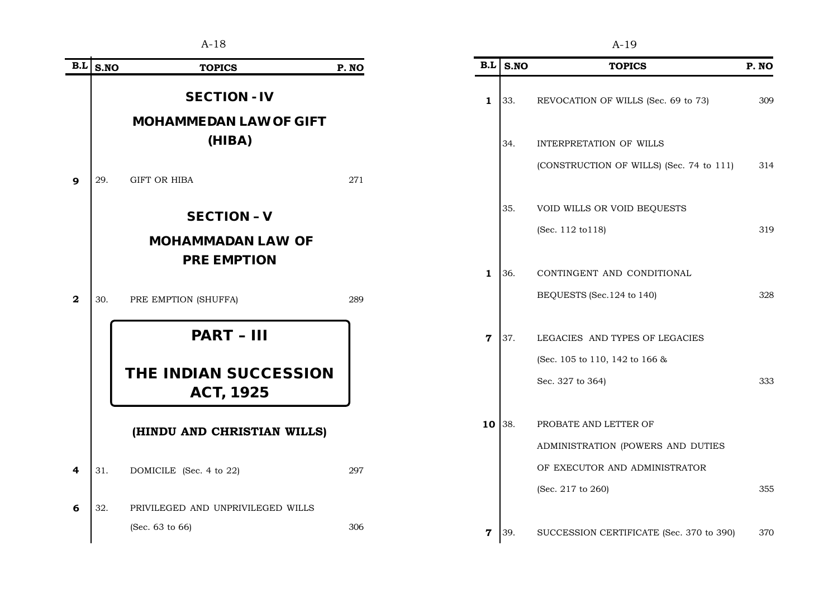|              |      | $A-18$                                           |      | $A-19$       |            |                                          |       |  |
|--------------|------|--------------------------------------------------|------|--------------|------------|------------------------------------------|-------|--|
| B.L          | S.NO | <b>TOPICS</b>                                    | P.NO | B.L          | S.NO       | <b>TOPICS</b>                            | P. NO |  |
|              |      | <b>SECTION - IV</b>                              |      | $\mathbf{1}$ | 33.        | REVOCATION OF WILLS (Sec. 69 to 73)      | 309   |  |
|              |      | <b>MOHAMMEDAN LAW OF GIFT</b>                    |      |              |            |                                          |       |  |
|              |      | (HIBA)                                           |      |              | 34.        | INTERPRETATION OF WILLS                  |       |  |
| 9            | 29.  | GIFT OR HIBA                                     | 271  |              |            | (CONSTRUCTION OF WILLS) (Sec. 74 to 111) | 314   |  |
|              |      | <b>SECTION - V</b>                               |      |              | 35.        | VOID WILLS OR VOID BEQUESTS              |       |  |
|              |      | <b>MOHAMMADAN LAW OF</b>                         |      |              |            | (Sec. 112 to 118)                        | 319   |  |
|              |      | <b>PRE EMPTION</b>                               |      |              |            |                                          |       |  |
|              |      |                                                  |      |              | 1 36.      | CONTINGENT AND CONDITIONAL               |       |  |
| $\mathbf{2}$ | 30.  | PRE EMPTION (SHUFFA)                             | 289  |              |            | BEQUESTS (Sec. 124 to 140)               | 328   |  |
|              |      | <b>PART - III</b>                                |      |              | $7 \,$ 37. | LEGACIES AND TYPES OF LEGACIES           |       |  |
|              |      |                                                  |      |              |            | (Sec. 105 to 110, 142 to 166 &           |       |  |
|              |      | <b>THE INDIAN SUCCESSION</b><br><b>ACT, 1925</b> |      |              |            | Sec. 327 to 364)                         | 333   |  |
|              |      | (HINDU AND CHRISTIAN WILLS)                      |      |              | $10$ 38.   | PROBATE AND LETTER OF                    |       |  |
|              |      |                                                  |      |              |            | ADMINISTRATION (POWERS AND DUTIES        |       |  |
| 4            | 31.  | DOMICILE (Sec. 4 to 22)                          | 297  |              |            | OF EXECUTOR AND ADMINISTRATOR            |       |  |
|              |      |                                                  |      |              |            | (Sec. 217 to 260)                        | 355   |  |
| 6            | 32.  | PRIVILEGED AND UNPRIVILEGED WILLS                |      |              |            |                                          |       |  |
|              |      | (Sec. 63 to 66)                                  | 306  | $\mathbf 7$  | 39.        | SUCCESSION CERTIFICATE (Sec. 370 to 390) | 370   |  |